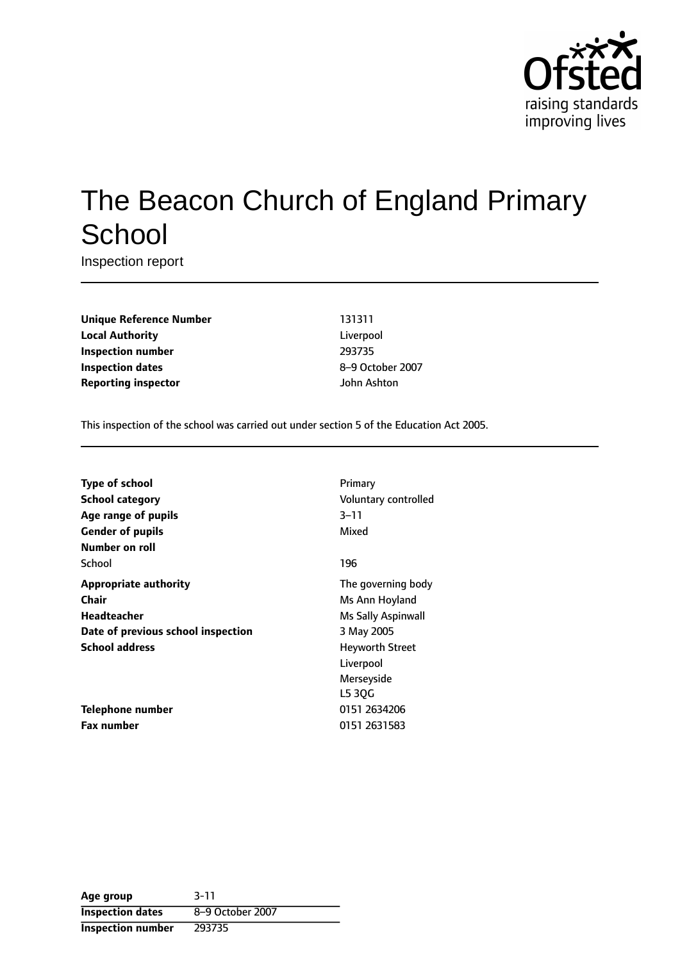

# The Beacon Church of England Primary **School**

Inspection report

**Unique Reference Number** 131311 **Local Authority** Liverpool **Inspection number** 293735 **Inspection dates** 8-9 October 2007 **Reporting inspector and a structure of the United Structure 3 and 10 structure 3 and 10 structure 3 and 10 structure 3 and 10 structure 3 and 10 structure 3 and 10 structure 3 and 10 structure 3 and 10 structure 3 and 1** 

This inspection of the school was carried out under section 5 of the Education Act 2005.

| <b>Type of school</b>              | Primary                   |
|------------------------------------|---------------------------|
| <b>School category</b>             | Voluntary controlled      |
| Age range of pupils                | 3–11                      |
| <b>Gender of pupils</b>            | Mixed                     |
| Number on roll                     |                           |
| School                             | 196                       |
| <b>Appropriate authority</b>       | The governing body        |
| Chair                              | Ms Ann Hoyland            |
| Headteacher                        | <b>Ms Sally Aspinwall</b> |
| Date of previous school inspection | 3 May 2005                |
| <b>School address</b>              | Heyworth Street           |
|                                    | Liverpool                 |
|                                    | Merseyside                |
|                                    | L5 30G                    |
| Telephone number                   | 0151 2634206              |
| <b>Fax number</b>                  | 0151 2631583              |

| Age group                | $3 - 11$         |
|--------------------------|------------------|
| <b>Inspection dates</b>  | 8-9 October 2007 |
| <b>Inspection number</b> | 293735           |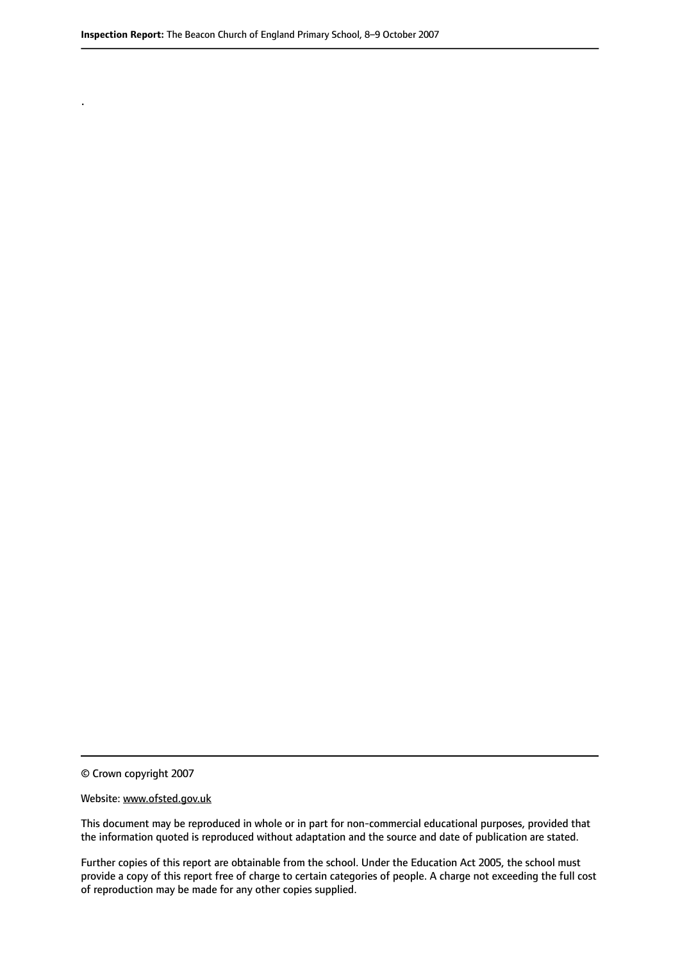© Crown copyright 2007

.

#### Website: www.ofsted.gov.uk

This document may be reproduced in whole or in part for non-commercial educational purposes, provided that the information quoted is reproduced without adaptation and the source and date of publication are stated.

Further copies of this report are obtainable from the school. Under the Education Act 2005, the school must provide a copy of this report free of charge to certain categories of people. A charge not exceeding the full cost of reproduction may be made for any other copies supplied.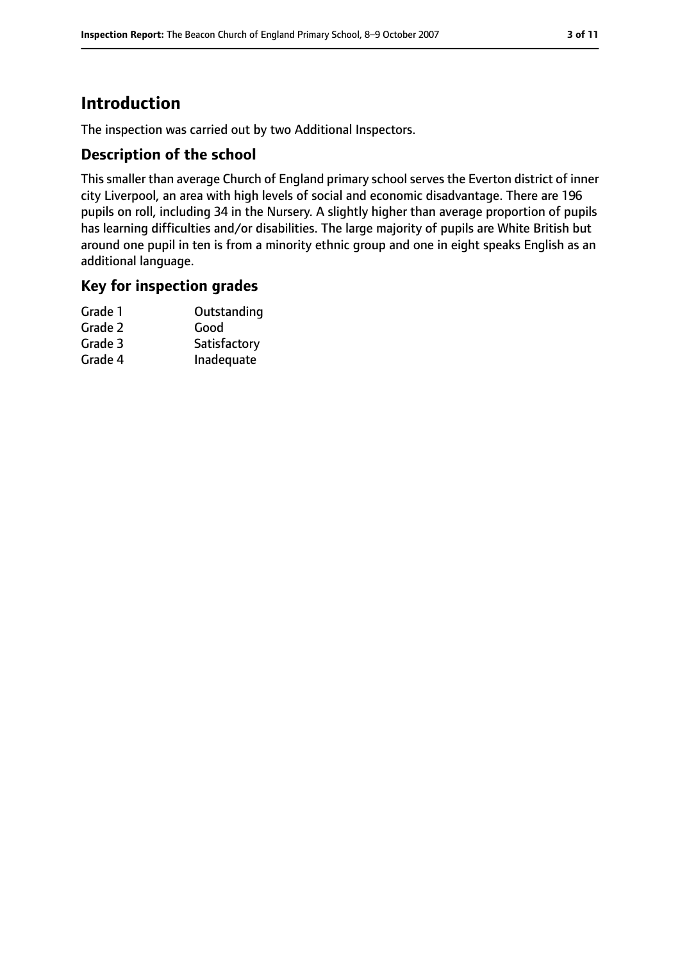# **Introduction**

The inspection was carried out by two Additional Inspectors.

### **Description of the school**

This smaller than average Church of England primary school serves the Everton district of inner city Liverpool, an area with high levels of social and economic disadvantage. There are 196 pupils on roll, including 34 in the Nursery. A slightly higher than average proportion of pupils has learning difficulties and/or disabilities. The large majority of pupils are White British but around one pupil in ten is from a minority ethnic group and one in eight speaks English as an additional language.

#### **Key for inspection grades**

| Grade 1 | Outstanding  |
|---------|--------------|
| Grade 2 | Good         |
| Grade 3 | Satisfactory |
| Grade 4 | Inadequate   |
|         |              |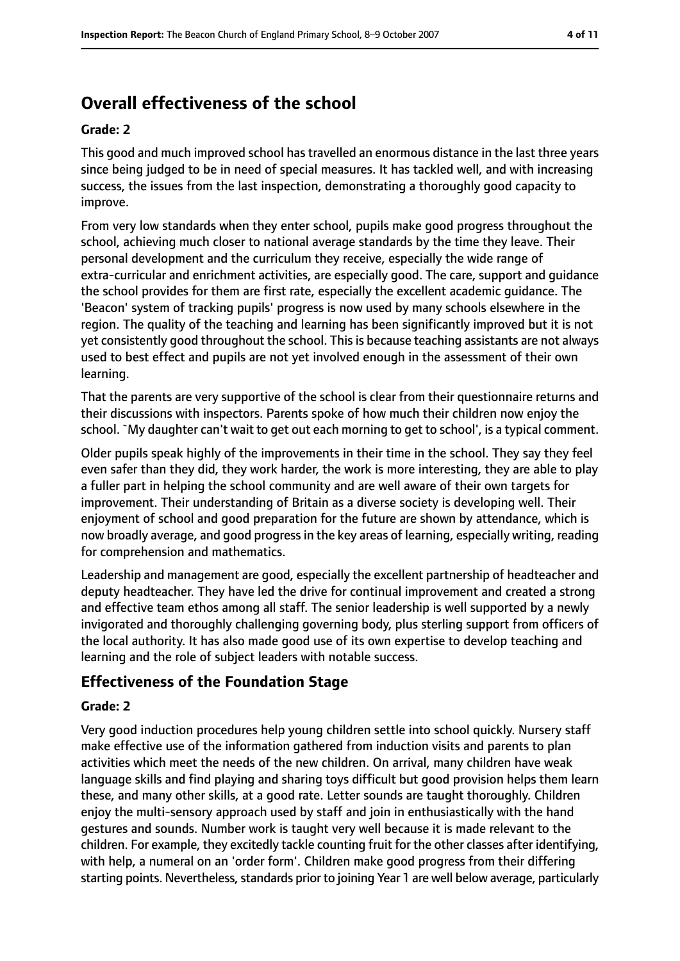# **Overall effectiveness of the school**

#### **Grade: 2**

This good and much improved school has travelled an enormous distance in the last three years since being judged to be in need of special measures. It has tackled well, and with increasing success, the issues from the last inspection, demonstrating a thoroughly good capacity to improve.

From very low standards when they enter school, pupils make good progress throughout the school, achieving much closer to national average standards by the time they leave. Their personal development and the curriculum they receive, especially the wide range of extra-curricular and enrichment activities, are especially good. The care, support and guidance the school provides for them are first rate, especially the excellent academic guidance. The 'Beacon' system of tracking pupils' progress is now used by many schools elsewhere in the region. The quality of the teaching and learning has been significantly improved but it is not yet consistently good throughout the school. This is because teaching assistants are not always used to best effect and pupils are not yet involved enough in the assessment of their own learning.

That the parents are very supportive of the school is clear from their questionnaire returns and their discussions with inspectors. Parents spoke of how much their children now enjoy the school. `My daughter can't wait to get out each morning to get to school', is a typical comment.

Older pupils speak highly of the improvements in their time in the school. They say they feel even safer than they did, they work harder, the work is more interesting, they are able to play a fuller part in helping the school community and are well aware of their own targets for improvement. Their understanding of Britain as a diverse society is developing well. Their enjoyment of school and good preparation for the future are shown by attendance, which is now broadly average, and good progressin the key areas of learning, especially writing, reading for comprehension and mathematics.

Leadership and management are good, especially the excellent partnership of headteacher and deputy headteacher. They have led the drive for continual improvement and created a strong and effective team ethos among all staff. The senior leadership is well supported by a newly invigorated and thoroughly challenging governing body, plus sterling support from officers of the local authority. It has also made good use of its own expertise to develop teaching and learning and the role of subject leaders with notable success.

#### **Effectiveness of the Foundation Stage**

#### **Grade: 2**

Very good induction procedures help young children settle into school quickly. Nursery staff make effective use of the information gathered from induction visits and parents to plan activities which meet the needs of the new children. On arrival, many children have weak language skills and find playing and sharing toys difficult but good provision helps them learn these, and many other skills, at a good rate. Letter sounds are taught thoroughly. Children enjoy the multi-sensory approach used by staff and join in enthusiastically with the hand gestures and sounds. Number work is taught very well because it is made relevant to the children. For example, they excitedly tackle counting fruit for the other classes after identifying, with help, a numeral on an 'order form'. Children make good progress from their differing starting points. Nevertheless, standards prior to joining Year 1 are well below average, particularly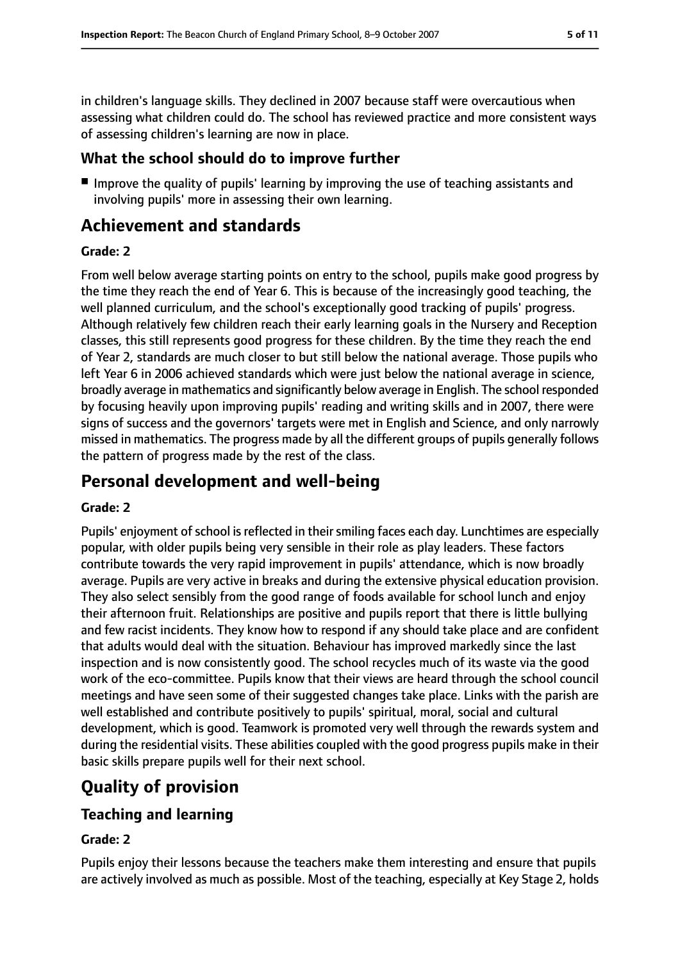in children's language skills. They declined in 2007 because staff were overcautious when assessing what children could do. The school has reviewed practice and more consistent ways of assessing children's learning are now in place.

## **What the school should do to improve further**

■ Improve the quality of pupils' learning by improving the use of teaching assistants and involving pupils' more in assessing their own learning.

# **Achievement and standards**

#### **Grade: 2**

From well below average starting points on entry to the school, pupils make good progress by the time they reach the end of Year 6. This is because of the increasingly good teaching, the well planned curriculum, and the school's exceptionally good tracking of pupils' progress. Although relatively few children reach their early learning goals in the Nursery and Reception classes, this still represents good progress for these children. By the time they reach the end of Year 2, standards are much closer to but still below the national average. Those pupils who left Year 6 in 2006 achieved standards which were just below the national average in science, broadly average in mathematics and significantly below average in English. The school responded by focusing heavily upon improving pupils' reading and writing skills and in 2007, there were signs of success and the governors' targets were met in English and Science, and only narrowly missed in mathematics. The progress made by all the different groups of pupils generally follows the pattern of progress made by the rest of the class.

## **Personal development and well-being**

#### **Grade: 2**

Pupils' enjoyment of school is reflected in their smiling faces each day. Lunchtimes are especially popular, with older pupils being very sensible in their role as play leaders. These factors contribute towards the very rapid improvement in pupils' attendance, which is now broadly average. Pupils are very active in breaks and during the extensive physical education provision. They also select sensibly from the good range of foods available for school lunch and enjoy their afternoon fruit. Relationships are positive and pupils report that there is little bullying and few racist incidents. They know how to respond if any should take place and are confident that adults would deal with the situation. Behaviour has improved markedly since the last inspection and is now consistently good. The school recycles much of its waste via the good work of the eco-committee. Pupils know that their views are heard through the school council meetings and have seen some of their suggested changes take place. Links with the parish are well established and contribute positively to pupils' spiritual, moral, social and cultural development, which is good. Teamwork is promoted very well through the rewards system and during the residential visits. These abilities coupled with the good progress pupils make in their basic skills prepare pupils well for their next school.

# **Quality of provision**

## **Teaching and learning**

#### **Grade: 2**

Pupils enjoy their lessons because the teachers make them interesting and ensure that pupils are actively involved as much as possible. Most of the teaching, especially at Key Stage 2, holds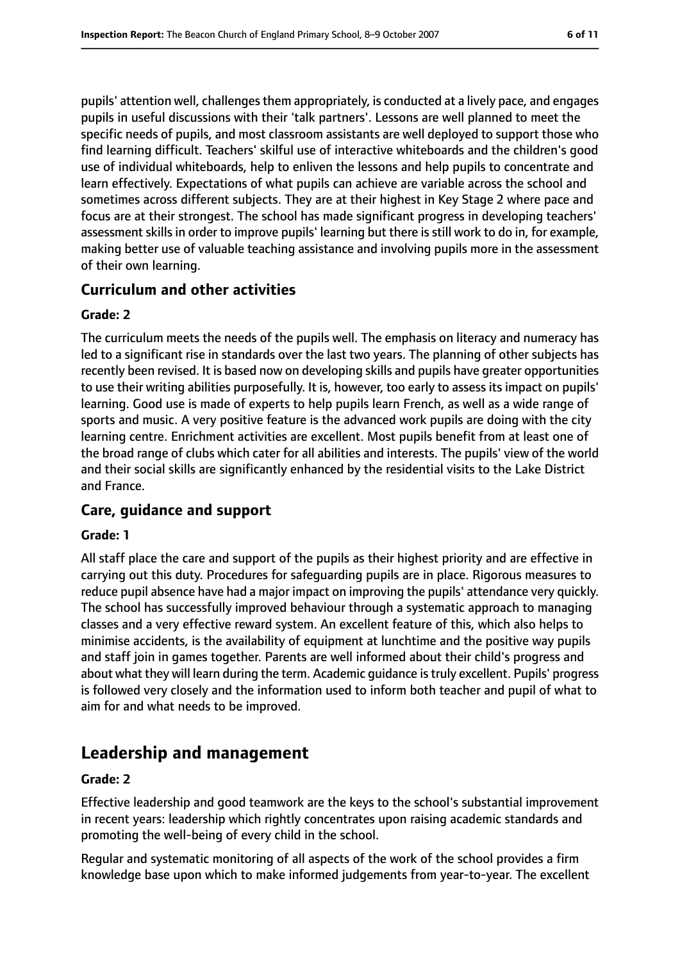pupils' attention well, challengesthem appropriately, is conducted at a lively pace, and engages pupils in useful discussions with their 'talk partners'. Lessons are well planned to meet the specific needs of pupils, and most classroom assistants are well deployed to support those who find learning difficult. Teachers' skilful use of interactive whiteboards and the children's good use of individual whiteboards, help to enliven the lessons and help pupils to concentrate and learn effectively. Expectations of what pupils can achieve are variable across the school and sometimes across different subjects. They are at their highest in Key Stage 2 where pace and focus are at their strongest. The school has made significant progress in developing teachers' assessment skills in order to improve pupils' learning but there is still work to do in, for example, making better use of valuable teaching assistance and involving pupils more in the assessment of their own learning.

## **Curriculum and other activities**

#### **Grade: 2**

The curriculum meets the needs of the pupils well. The emphasis on literacy and numeracy has led to a significant rise in standards over the last two years. The planning of other subjects has recently been revised. It is based now on developing skills and pupils have greater opportunities to use their writing abilities purposefully. It is, however, too early to assess its impact on pupils' learning. Good use is made of experts to help pupils learn French, as well as a wide range of sports and music. A very positive feature is the advanced work pupils are doing with the city learning centre. Enrichment activities are excellent. Most pupils benefit from at least one of the broad range of clubs which cater for all abilities and interests. The pupils' view of the world and their social skills are significantly enhanced by the residential visits to the Lake District and France.

#### **Care, guidance and support**

#### **Grade: 1**

All staff place the care and support of the pupils as their highest priority and are effective in carrying out this duty. Procedures for safeguarding pupils are in place. Rigorous measures to reduce pupil absence have had a major impact on improving the pupils' attendance very quickly. The school has successfully improved behaviour through a systematic approach to managing classes and a very effective reward system. An excellent feature of this, which also helps to minimise accidents, is the availability of equipment at lunchtime and the positive way pupils and staff join in games together. Parents are well informed about their child's progress and about what they will learn during the term. Academic guidance istruly excellent. Pupils' progress is followed very closely and the information used to inform both teacher and pupil of what to aim for and what needs to be improved.

## **Leadership and management**

#### **Grade: 2**

Effective leadership and good teamwork are the keys to the school's substantial improvement in recent years: leadership which rightly concentrates upon raising academic standards and promoting the well-being of every child in the school.

Regular and systematic monitoring of all aspects of the work of the school provides a firm knowledge base upon which to make informed judgements from year-to-year. The excellent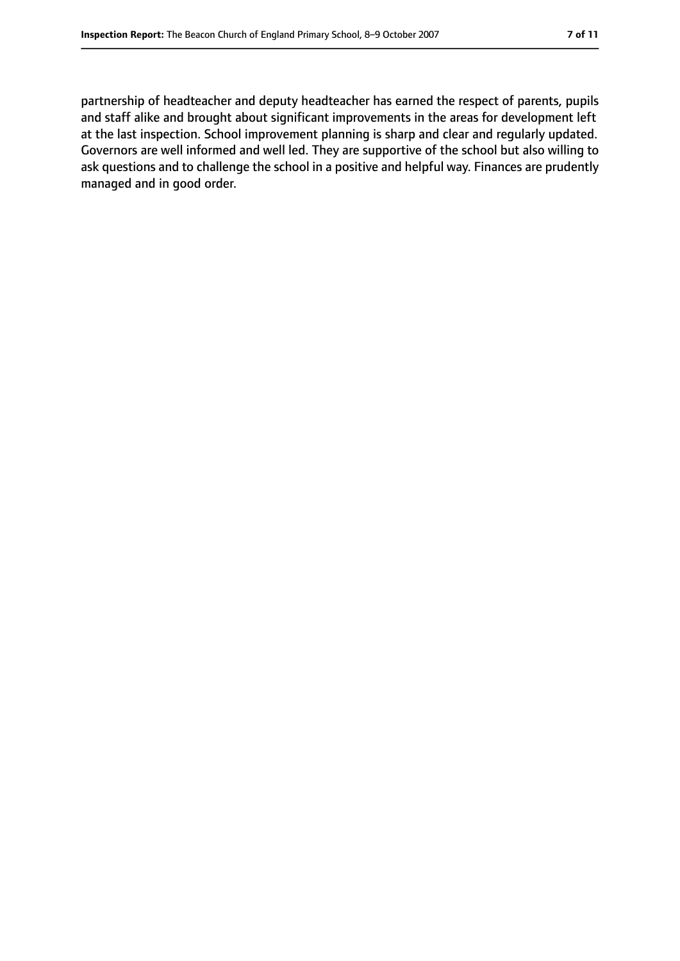partnership of headteacher and deputy headteacher has earned the respect of parents, pupils and staff alike and brought about significant improvements in the areas for development left at the last inspection. School improvement planning is sharp and clear and regularly updated. Governors are well informed and well led. They are supportive of the school but also willing to ask questions and to challenge the school in a positive and helpful way. Finances are prudently managed and in good order.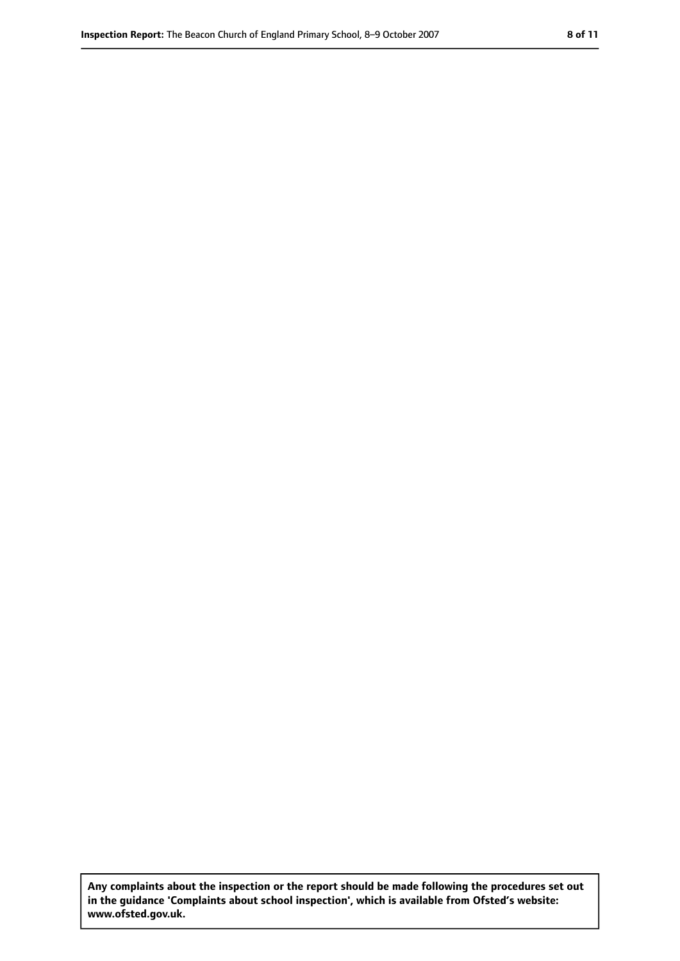**Any complaints about the inspection or the report should be made following the procedures set out in the guidance 'Complaints about school inspection', which is available from Ofsted's website: www.ofsted.gov.uk.**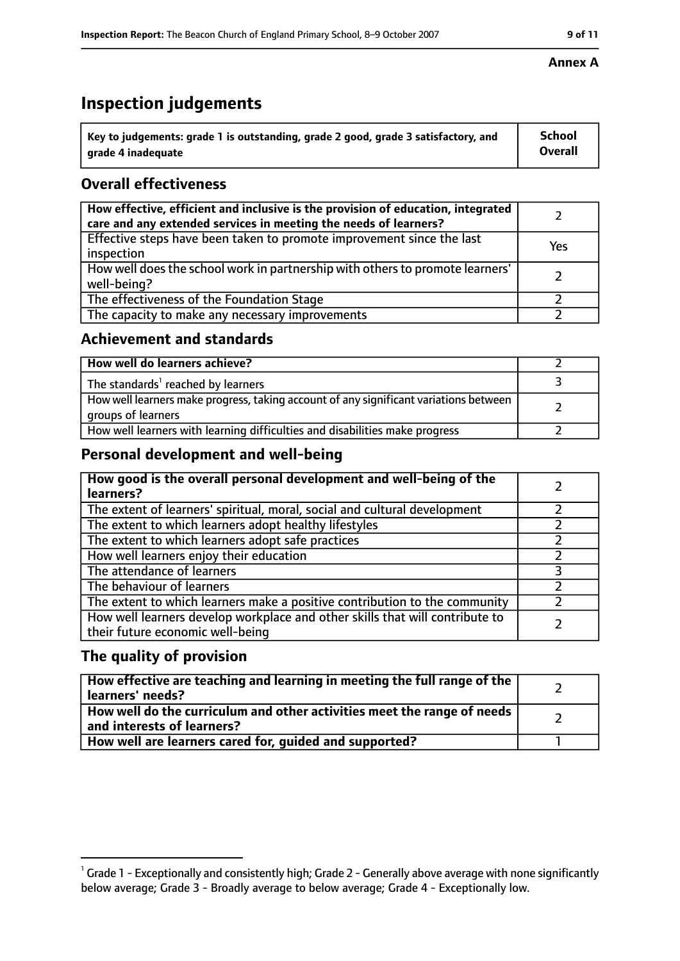# **Inspection judgements**

| $^{\backprime}$ Key to judgements: grade 1 is outstanding, grade 2 good, grade 3 satisfactory, and | School         |
|----------------------------------------------------------------------------------------------------|----------------|
| arade 4 inadequate                                                                                 | <b>Overall</b> |

## **Overall effectiveness**

| How effective, efficient and inclusive is the provision of education, integrated<br>care and any extended services in meeting the needs of learners? |     |
|------------------------------------------------------------------------------------------------------------------------------------------------------|-----|
| Effective steps have been taken to promote improvement since the last<br>inspection                                                                  | Yes |
| How well does the school work in partnership with others to promote learners'<br>well-being?                                                         |     |
| The effectiveness of the Foundation Stage                                                                                                            |     |
| The capacity to make any necessary improvements                                                                                                      |     |

#### **Achievement and standards**

| How well do learners achieve?                                                                               |  |
|-------------------------------------------------------------------------------------------------------------|--|
| The standards <sup>1</sup> reached by learners                                                              |  |
| How well learners make progress, taking account of any significant variations between<br>groups of learners |  |
| How well learners with learning difficulties and disabilities make progress                                 |  |

## **Personal development and well-being**

| How good is the overall personal development and well-being of the<br>learners?                                  |  |
|------------------------------------------------------------------------------------------------------------------|--|
| The extent of learners' spiritual, moral, social and cultural development                                        |  |
| The extent to which learners adopt healthy lifestyles                                                            |  |
| The extent to which learners adopt safe practices                                                                |  |
| How well learners enjoy their education                                                                          |  |
| The attendance of learners                                                                                       |  |
| The behaviour of learners                                                                                        |  |
| The extent to which learners make a positive contribution to the community                                       |  |
| How well learners develop workplace and other skills that will contribute to<br>their future economic well-being |  |

#### **The quality of provision**

| How effective are teaching and learning in meeting the full range of the<br>learners' needs?          |  |
|-------------------------------------------------------------------------------------------------------|--|
| How well do the curriculum and other activities meet the range of needs<br>and interests of learners? |  |
| How well are learners cared for, quided and supported?                                                |  |

#### **Annex A**

 $^1$  Grade 1 - Exceptionally and consistently high; Grade 2 - Generally above average with none significantly below average; Grade 3 - Broadly average to below average; Grade 4 - Exceptionally low.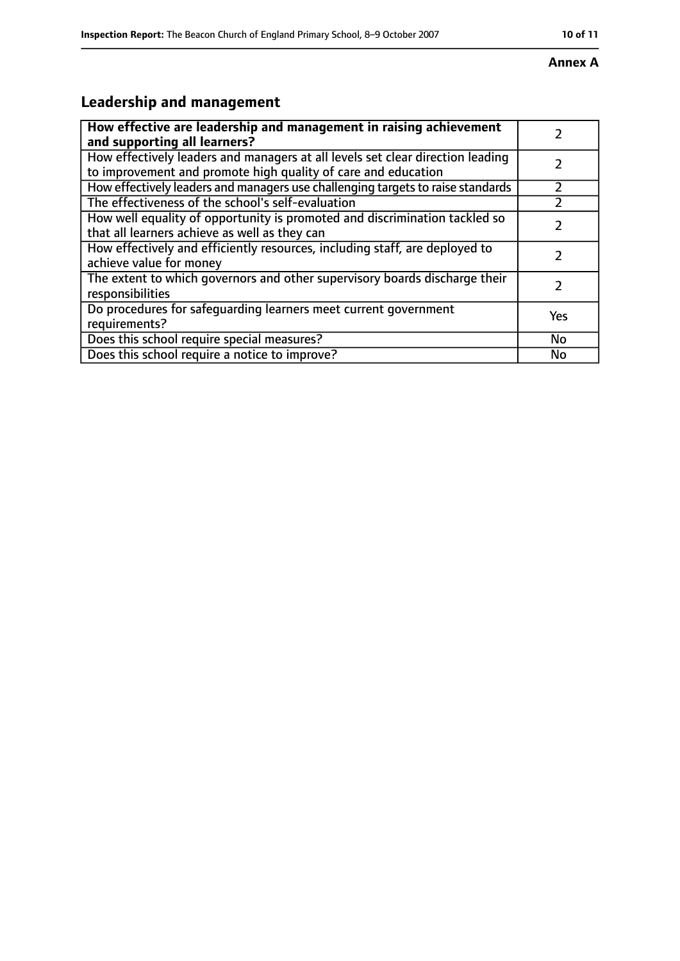#### **Annex A**

# **Leadership and management**

| How effective are leadership and management in raising achievement<br>and supporting all learners?                                              |     |
|-------------------------------------------------------------------------------------------------------------------------------------------------|-----|
| How effectively leaders and managers at all levels set clear direction leading<br>to improvement and promote high quality of care and education |     |
| How effectively leaders and managers use challenging targets to raise standards                                                                 |     |
| The effectiveness of the school's self-evaluation                                                                                               |     |
| How well equality of opportunity is promoted and discrimination tackled so<br>that all learners achieve as well as they can                     |     |
| How effectively and efficiently resources, including staff, are deployed to<br>achieve value for money                                          |     |
| The extent to which governors and other supervisory boards discharge their<br>responsibilities                                                  |     |
| Do procedures for safequarding learners meet current government<br>requirements?                                                                | Yes |
| Does this school require special measures?                                                                                                      | No  |
| Does this school require a notice to improve?                                                                                                   | No  |